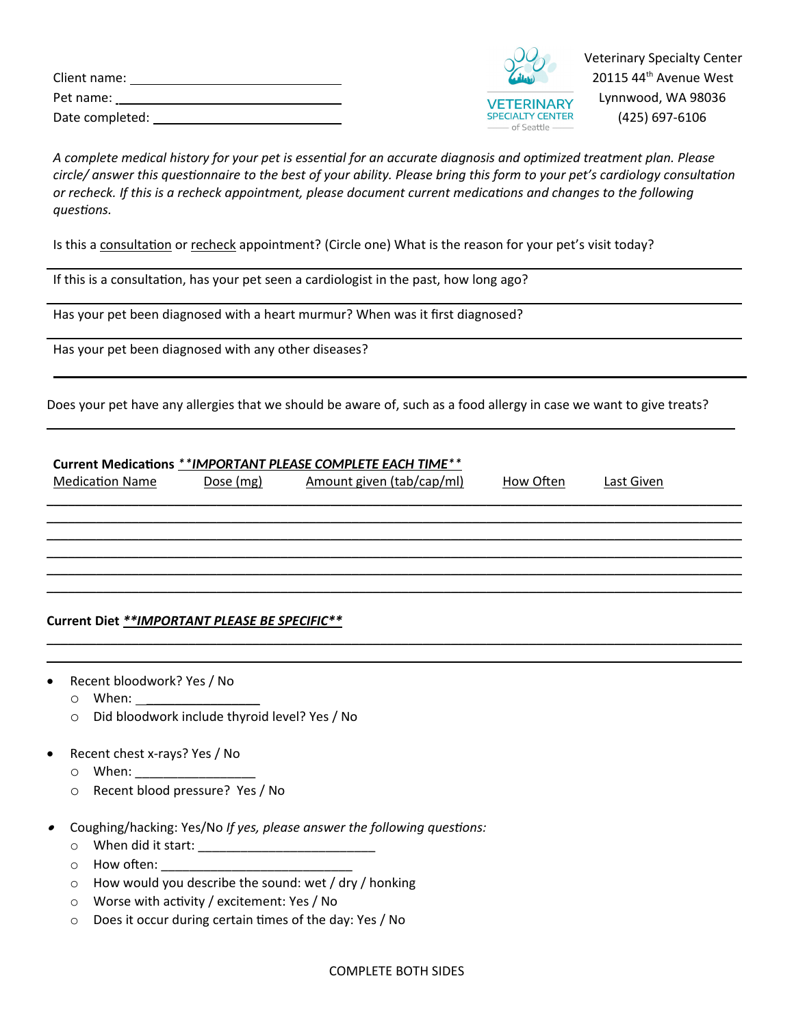| Client name:    |  |
|-----------------|--|
| Pet name:       |  |
| Date completed: |  |



 Veterinary Specialty Center  $20115$  44<sup>th</sup> Avenue West  $\overline{V$ FTERINARY Lynnwood, WA 98036 SPECIALTY CENTER  $(425)$  697-6106

*A complete medical history for your pet is essenƟal for an accurate diagnosis and opƟmized treatment plan. Please circle/ answer this quesƟonnaire to the best of your ability. Please bring this form to your pet's cardiology consultaƟon or recheck. If this is a recheck appointment, please document current medicaƟons and changes to the following quesƟons.*

 $\overline{\phantom{a}}$  , and the contribution of the contribution of the contribution of the contribution of the contribution of the contribution of the contribution of the contribution of the contribution of the contribution of the

 $\overline{\phantom{a}}$  , and the contribution of the contribution of the contribution of the contribution of the contribution of the contribution of the contribution of the contribution of the contribution of the contribution of the

 $\overline{\phantom{a}}$  , and the contract of the contract of the contract of the contract of the contract of the contract of the contract of the contract of the contract of the contract of the contract of the contract of the contrac

Is this a consultation or recheck appointment? (Circle one) What is the reason for your pet's visit today?

If this is a consultation, has your pet seen a cardiologist in the past, how long ago?

Has your pet been diagnosed with a heart murmur? When was it first diagnosed?

Has your pet been diagnosed with any other diseases?

Does your pet have any allergies that we should be aware of, such as a food allergy in case we want to give treats?

 $\overline{\phantom{a}}$  , and the contribution of the contribution of the contribution of the contribution of the contribution of the contribution of the contribution of the contribution of the contribution of the contribution of the

| Current Medications ** IMPORTANT PLEASE COMPLETE EACH TIME** |  |                                     |           |            |  |  |
|--------------------------------------------------------------|--|-------------------------------------|-----------|------------|--|--|
| <b>Medication Name</b>                                       |  | Dose (mg) Amount given (tab/cap/ml) | How Often | Last Given |  |  |
|                                                              |  |                                     |           |            |  |  |
|                                                              |  |                                     |           |            |  |  |
|                                                              |  |                                     |           |            |  |  |
|                                                              |  |                                     |           |            |  |  |
|                                                              |  |                                     |           |            |  |  |
| Current Diet **IMPORTANT PLEASE BE SPECIFIC**                |  |                                     |           |            |  |  |

 $\overline{\phantom{a}}$  , and the contribution of the contribution of the contribution of the contribution of the contribution of the contribution of the contribution of the contribution of the contribution of the contribution of the  $\overline{\phantom{a}}$  , and the contribution of the contribution of the contribution of the contribution of the contribution of the contribution of the contribution of the contribution of the contribution of the contribution of the

- Recent bloodwork? Yes / No
	- $\circ$  When:
	- o Did bloodwork include thyroid level? Yes / No
- Recent chest x-rays? Yes / No
	- $\circ$  When:
	- o Recent blood pressure? Yes / No
- . Coughing/hacking: Yes/No *If yes, please answer the following questions:* 
	- o When did it start: \_\_\_\_\_\_\_\_\_\_\_\_\_\_\_\_\_\_\_\_\_\_\_\_\_
	- $\circ$  How often:
	- o How would you describe the sound: wet / dry / honking
	- $\circ$  Worse with activity / excitement: Yes / No
	- o Does it occur during certain Ɵmes of the day: Yes / No